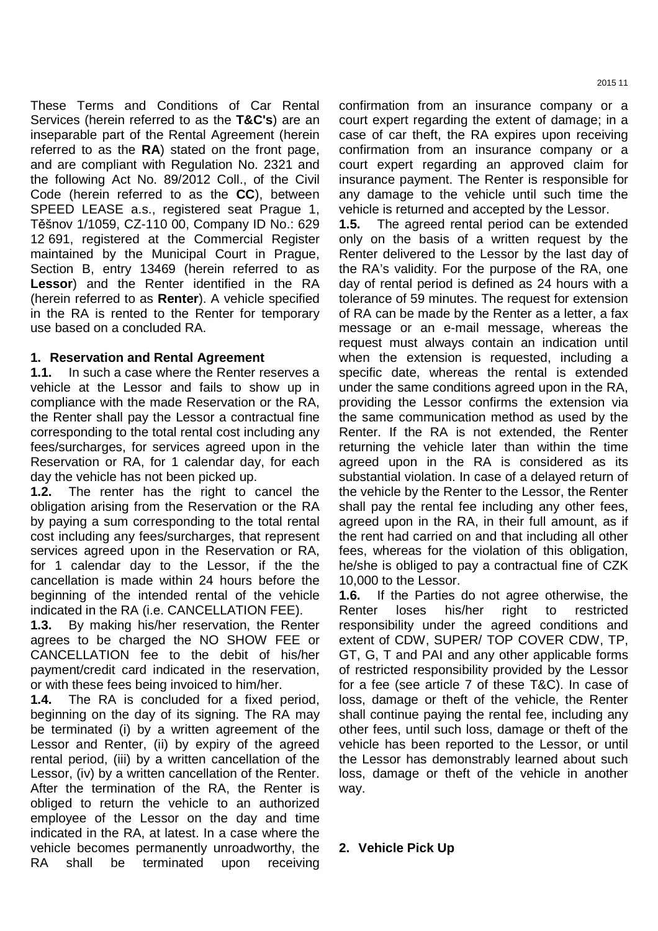These Terms and Conditions of Car Rental Services (herein referred to as the **T&C's**) are an inseparable part of the Rental Agreement (herein referred to as the **RA**) stated on the front page, and are compliant with Regulation No. 2321 and the following Act No. 89/2012 Coll., of the Civil Code (herein referred to as the **CC**), between SPEED LEASE a.s., registered seat Prague 1, Těšnov 1/1059, CZ-110 00, Company ID No.: 629 12 691, registered at the Commercial Register maintained by the Municipal Court in Prague, Section B, entry 13469 (herein referred to as **Lessor**) and the Renter identified in the RA (herein referred to as **Renter**). A vehicle specified in the RA is rented to the Renter for temporary use based on a concluded RA.

#### **1. Reservation and Rental Agreement**

**1.1.** In such a case where the Renter reserves a vehicle at the Lessor and fails to show up in compliance with the made Reservation or the RA, the Renter shall pay the Lessor a contractual fine corresponding to the total rental cost including any fees/surcharges, for services agreed upon in the Reservation or RA, for 1 calendar day, for each day the vehicle has not been picked up.

**1.2.** The renter has the right to cancel the obligation arising from the Reservation or the RA by paying a sum corresponding to the total rental cost including any fees/surcharges, that represent services agreed upon in the Reservation or RA, for 1 calendar day to the Lessor, if the the cancellation is made within 24 hours before the beginning of the intended rental of the vehicle indicated in the RA (i.e. CANCELLATION FEE).

**1.3.** By making his/her reservation, the Renter agrees to be charged the NO SHOW FEE or CANCELLATION fee to the debit of his/her payment/credit card indicated in the reservation, or with these fees being invoiced to him/her.

**1.4.** The RA is concluded for a fixed period, beginning on the day of its signing. The RA may be terminated (i) by a written agreement of the Lessor and Renter, (ii) by expiry of the agreed rental period, (iii) by a written cancellation of the Lessor, (iv) by a written cancellation of the Renter. After the termination of the RA, the Renter is obliged to return the vehicle to an authorized employee of the Lessor on the day and time indicated in the RA, at latest. In a case where the vehicle becomes permanently unroadworthy, the RA shall be terminated upon receiving

confirmation from an insurance company or a court expert regarding the extent of damage; in a case of car theft, the RA expires upon receiving confirmation from an insurance company or a court expert regarding an approved claim for insurance payment. The Renter is responsible for any damage to the vehicle until such time the vehicle is returned and accepted by the Lessor.

**1.5.** The agreed rental period can be extended only on the basis of a written request by the Renter delivered to the Lessor by the last day of the RA's validity. For the purpose of the RA, one day of rental period is defined as 24 hours with a tolerance of 59 minutes. The request for extension of RA can be made by the Renter as a letter, a fax message or an e-mail message, whereas the request must always contain an indication until when the extension is requested, including a specific date, whereas the rental is extended under the same conditions agreed upon in the RA, providing the Lessor confirms the extension via the same communication method as used by the Renter. If the RA is not extended, the Renter returning the vehicle later than within the time agreed upon in the RA is considered as its substantial violation. In case of a delayed return of the vehicle by the Renter to the Lessor, the Renter shall pay the rental fee including any other fees, agreed upon in the RA, in their full amount, as if the rent had carried on and that including all other fees, whereas for the violation of this obligation, he/she is obliged to pay a contractual fine of CZK 10,000 to the Lessor.

**1.6.** If the Parties do not agree otherwise, the Renter loses his/her right to restricted responsibility under the agreed conditions and extent of CDW, SUPER/ TOP COVER CDW, TP, GT, G, T and PAI and any other applicable forms of restricted responsibility provided by the Lessor for a fee (see article 7 of these T&C). In case of loss, damage or theft of the vehicle, the Renter shall continue paying the rental fee, including any other fees, until such loss, damage or theft of the vehicle has been reported to the Lessor, or until the Lessor has demonstrably learned about such loss, damage or theft of the vehicle in another way.

# **2. Vehicle Pick Up**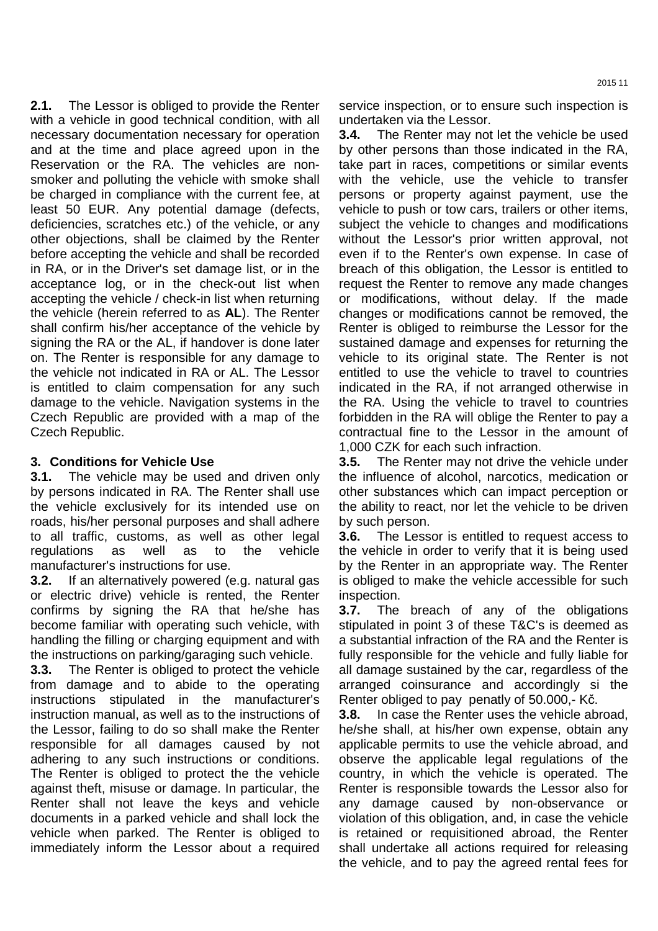**2.1.** The Lessor is obliged to provide the Renter with a vehicle in good technical condition, with all necessary documentation necessary for operation and at the time and place agreed upon in the Reservation or the RA. The vehicles are nonsmoker and polluting the vehicle with smoke shall be charged in compliance with the current fee, at least 50 EUR. Any potential damage (defects, deficiencies, scratches etc.) of the vehicle, or any other objections, shall be claimed by the Renter before accepting the vehicle and shall be recorded in RA, or in the Driver's set damage list, or in the acceptance log, or in the check-out list when accepting the vehicle / check-in list when returning the vehicle (herein referred to as **AL**). The Renter shall confirm his/her acceptance of the vehicle by signing the RA or the AL, if handover is done later on. The Renter is responsible for any damage to the vehicle not indicated in RA or AL. The Lessor is entitled to claim compensation for any such damage to the vehicle. Navigation systems in the Czech Republic are provided with a map of the Czech Republic.

#### **3. Conditions for Vehicle Use**

**3.1.** The vehicle may be used and driven only by persons indicated in RA. The Renter shall use the vehicle exclusively for its intended use on roads, his/her personal purposes and shall adhere to all traffic, customs, as well as other legal regulations as well as to the vehicle manufacturer's instructions for use.

**3.2.** If an alternatively powered (e.g. natural gas or electric drive) vehicle is rented, the Renter confirms by signing the RA that he/she has become familiar with operating such vehicle, with handling the filling or charging equipment and with the instructions on parking/garaging such vehicle.

**3.3.** The Renter is obliged to protect the vehicle from damage and to abide to the operating instructions stipulated in the manufacturer's instruction manual, as well as to the instructions of the Lessor, failing to do so shall make the Renter responsible for all damages caused by not adhering to any such instructions or conditions. The Renter is obliged to protect the the vehicle against theft, misuse or damage. In particular, the Renter shall not leave the keys and vehicle documents in a parked vehicle and shall lock the vehicle when parked. The Renter is obliged to immediately inform the Lessor about a required service inspection, or to ensure such inspection is undertaken via the Lessor.

**3.4.** The Renter may not let the vehicle be used by other persons than those indicated in the RA, take part in races, competitions or similar events with the vehicle, use the vehicle to transfer persons or property against payment, use the vehicle to push or tow cars, trailers or other items, subject the vehicle to changes and modifications without the Lessor's prior written approval, not even if to the Renter's own expense. In case of breach of this obligation, the Lessor is entitled to request the Renter to remove any made changes or modifications, without delay. If the made changes or modifications cannot be removed, the Renter is obliged to reimburse the Lessor for the sustained damage and expenses for returning the vehicle to its original state. The Renter is not entitled to use the vehicle to travel to countries indicated in the RA, if not arranged otherwise in the RA. Using the vehicle to travel to countries forbidden in the RA will oblige the Renter to pay a contractual fine to the Lessor in the amount of 1,000 CZK for each such infraction.

**3.5.** The Renter may not drive the vehicle under the influence of alcohol, narcotics, medication or other substances which can impact perception or the ability to react, nor let the vehicle to be driven by such person.

**3.6.** The Lessor is entitled to request access to the vehicle in order to verify that it is being used by the Renter in an appropriate way. The Renter is obliged to make the vehicle accessible for such inspection.

**3.7.** The breach of any of the obligations stipulated in point 3 of these T&C's is deemed as a substantial infraction of the RA and the Renter is fully responsible for the vehicle and fully liable for all damage sustained by the car, regardless of the arranged coinsurance and accordingly si the Renter obliged to pay penatly of 50.000,- Kč.

**3.8.** In case the Renter uses the vehicle abroad, he/she shall, at his/her own expense, obtain any applicable permits to use the vehicle abroad, and observe the applicable legal regulations of the country, in which the vehicle is operated. The Renter is responsible towards the Lessor also for any damage caused by non-observance or violation of this obligation, and, in case the vehicle is retained or requisitioned abroad, the Renter shall undertake all actions required for releasing the vehicle, and to pay the agreed rental fees for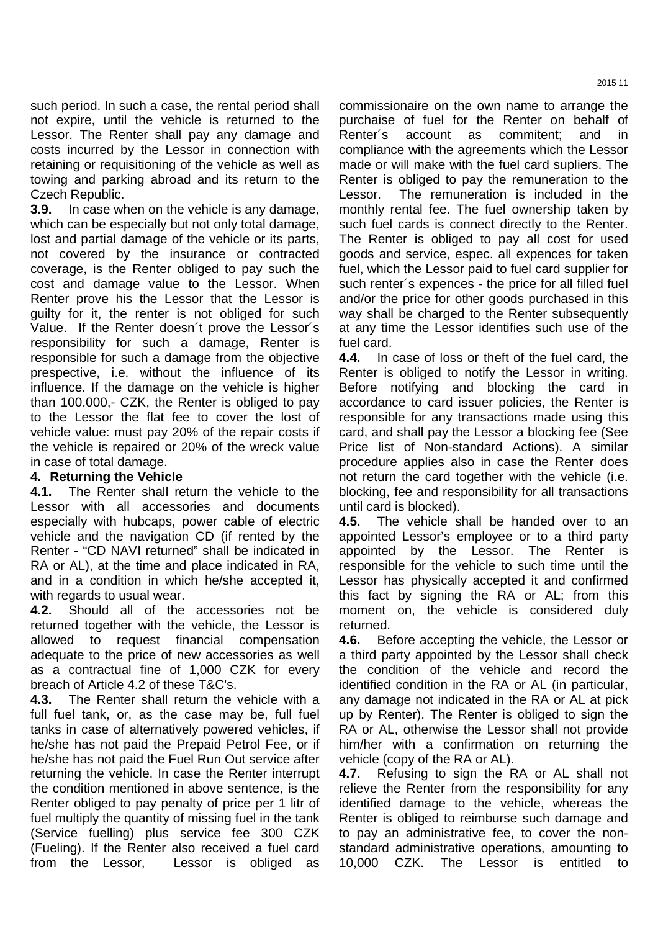such period. In such a case, the rental period shall not expire, until the vehicle is returned to the Lessor. The Renter shall pay any damage and costs incurred by the Lessor in connection with retaining or requisitioning of the vehicle as well as towing and parking abroad and its return to the Czech Republic.

**3.9.** In case when on the vehicle is any damage, which can be especially but not only total damage, lost and partial damage of the vehicle or its parts, not covered by the insurance or contracted coverage, is the Renter obliged to pay such the cost and damage value to the Lessor. When Renter prove his the Lessor that the Lessor is guilty for it, the renter is not obliged for such Value. If the Renter doesn´t prove the Lessor´s responsibility for such a damage, Renter is responsible for such a damage from the objective prespective, i.e. without the influence of its influence. If the damage on the vehicle is higher than 100.000,- CZK, the Renter is obliged to pay to the Lessor the flat fee to cover the lost of vehicle value: must pay 20% of the repair costs if the vehicle is repaired or 20% of the wreck value in case of total damage.

# **4. Returning the Vehicle**

**4.1.** The Renter shall return the vehicle to the Lessor with all accessories and documents especially with hubcaps, power cable of electric vehicle and the navigation CD (if rented by the Renter - "CD NAVI returned" shall be indicated in RA or AL), at the time and place indicated in RA, and in a condition in which he/she accepted it, with regards to usual wear.

**4.2.** Should all of the accessories not be returned together with the vehicle, the Lessor is allowed to request financial compensation adequate to the price of new accessories as well as a contractual fine of 1,000 CZK for every breach of Article 4.2 of these T&C's.

**4.3.** The Renter shall return the vehicle with a full fuel tank, or, as the case may be, full fuel tanks in case of alternatively powered vehicles, if he/she has not paid the Prepaid Petrol Fee, or if he/she has not paid the Fuel Run Out service after returning the vehicle. In case the Renter interrupt the condition mentioned in above sentence, is the Renter obliged to pay penalty of price per 1 litr of fuel multiply the quantity of missing fuel in the tank (Service fuelling) plus service fee 300 CZK (Fueling). If the Renter also received a fuel card from the Lessor, Lessor is obliged as

commissionaire on the own name to arrange the purchaise of fuel for the Renter on behalf of Renter´s account as commitent; and in compliance with the agreements which the Lessor made or will make with the fuel card supliers. The Renter is obliged to pay the remuneration to the Lessor. The remuneration is included in the monthly rental fee. The fuel ownership taken by such fuel cards is connect directly to the Renter. The Renter is obliged to pay all cost for used goods and service, espec. all expences for taken fuel, which the Lessor paid to fuel card supplier for such renter´s expences - the price for all filled fuel and/or the price for other goods purchased in this way shall be charged to the Renter subsequently at any time the Lessor identifies such use of the fuel card.

**4.4.** In case of loss or theft of the fuel card, the Renter is obliged to notify the Lessor in writing. Before notifying and blocking the card in accordance to card issuer policies, the Renter is responsible for any transactions made using this card, and shall pay the Lessor a blocking fee (See Price list of Non-standard Actions). A similar procedure applies also in case the Renter does not return the card together with the vehicle (i.e. blocking, fee and responsibility for all transactions until card is blocked).

**4.5.** The vehicle shall be handed over to an appointed Lessor's employee or to a third party appointed by the Lessor. The Renter is responsible for the vehicle to such time until the Lessor has physically accepted it and confirmed this fact by signing the RA or AL; from this moment on, the vehicle is considered duly returned.

**4.6.** Before accepting the vehicle, the Lessor or a third party appointed by the Lessor shall check the condition of the vehicle and record the identified condition in the RA or AL (in particular, any damage not indicated in the RA or AL at pick up by Renter). The Renter is obliged to sign the RA or AL, otherwise the Lessor shall not provide him/her with a confirmation on returning the vehicle (copy of the RA or AL).

**4.7.** Refusing to sign the RA or AL shall not relieve the Renter from the responsibility for any identified damage to the vehicle, whereas the Renter is obliged to reimburse such damage and to pay an administrative fee, to cover the nonstandard administrative operations, amounting to 10,000 CZK. The Lessor is entitled to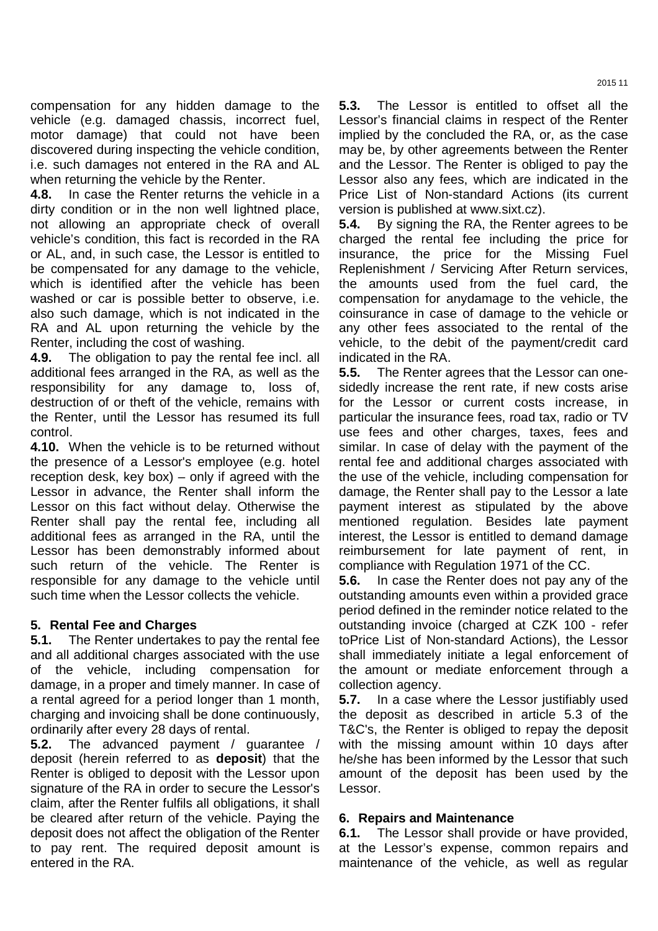compensation for any hidden damage to the vehicle (e.g. damaged chassis, incorrect fuel, motor damage) that could not have been discovered during inspecting the vehicle condition, i.e. such damages not entered in the RA and AL when returning the vehicle by the Renter.

**4.8.** In case the Renter returns the vehicle in a dirty condition or in the non well lightned place, not allowing an appropriate check of overall vehicle's condition, this fact is recorded in the RA or AL, and, in such case, the Lessor is entitled to be compensated for any damage to the vehicle, which is identified after the vehicle has been washed or car is possible better to observe, i.e. also such damage, which is not indicated in the RA and AL upon returning the vehicle by the Renter, including the cost of washing.

**4.9.** The obligation to pay the rental fee incl. all additional fees arranged in the RA, as well as the responsibility for any damage to, loss of, destruction of or theft of the vehicle, remains with the Renter, until the Lessor has resumed its full control.

**4.10.** When the vehicle is to be returned without the presence of a Lessor's employee (e.g. hotel reception desk, key box) – only if agreed with the Lessor in advance, the Renter shall inform the Lessor on this fact without delay. Otherwise the Renter shall pay the rental fee, including all additional fees as arranged in the RA, until the Lessor has been demonstrably informed about such return of the vehicle. The Renter is responsible for any damage to the vehicle until such time when the Lessor collects the vehicle.

# **5. Rental Fee and Charges**

**5.1.** The Renter undertakes to pay the rental fee and all additional charges associated with the use of the vehicle, including compensation for damage, in a proper and timely manner. In case of a rental agreed for a period longer than 1 month, charging and invoicing shall be done continuously, ordinarily after every 28 days of rental.

**5.2.** The advanced payment / guarantee / deposit (herein referred to as **deposit**) that the Renter is obliged to deposit with the Lessor upon signature of the RA in order to secure the Lessor's claim, after the Renter fulfils all obligations, it shall be cleared after return of the vehicle. Paying the deposit does not affect the obligation of the Renter to pay rent. The required deposit amount is entered in the RA.

**5.3.** The Lessor is entitled to offset all the Lessor's financial claims in respect of the Renter implied by the concluded the RA, or, as the case may be, by other agreements between the Renter and the Lessor. The Renter is obliged to pay the Lessor also any fees, which are indicated in the Price List of Non-standard Actions (its current version is published at www.sixt.cz).

**5.4.** By signing the RA, the Renter agrees to be charged the rental fee including the price for insurance, the price for the Missing Fuel Replenishment / Servicing After Return services, the amounts used from the fuel card, the compensation for anydamage to the vehicle, the coinsurance in case of damage to the vehicle or any other fees associated to the rental of the vehicle, to the debit of the payment/credit card indicated in the RA.

**5.5.** The Renter agrees that the Lessor can onesidedly increase the rent rate, if new costs arise for the Lessor or current costs increase, in particular the insurance fees, road tax, radio or TV use fees and other charges, taxes, fees and similar. In case of delay with the payment of the rental fee and additional charges associated with the use of the vehicle, including compensation for damage, the Renter shall pay to the Lessor a late payment interest as stipulated by the above mentioned regulation. Besides late payment interest, the Lessor is entitled to demand damage reimbursement for late payment of rent, in compliance with Regulation 1971 of the CC.

**5.6.** In case the Renter does not pay any of the outstanding amounts even within a provided grace period defined in the reminder notice related to the outstanding invoice (charged at CZK 100 - refer toPrice List of Non-standard Actions), the Lessor shall immediately initiate a legal enforcement of the amount or mediate enforcement through a collection agency.

**5.7.** In a case where the Lessor justifiably used the deposit as described in article 5.3 of the T&C's, the Renter is obliged to repay the deposit with the missing amount within 10 days after he/she has been informed by the Lessor that such amount of the deposit has been used by the Lessor.

# **6. Repairs and Maintenance**

**6.1.** The Lessor shall provide or have provided, at the Lessor's expense, common repairs and maintenance of the vehicle, as well as regular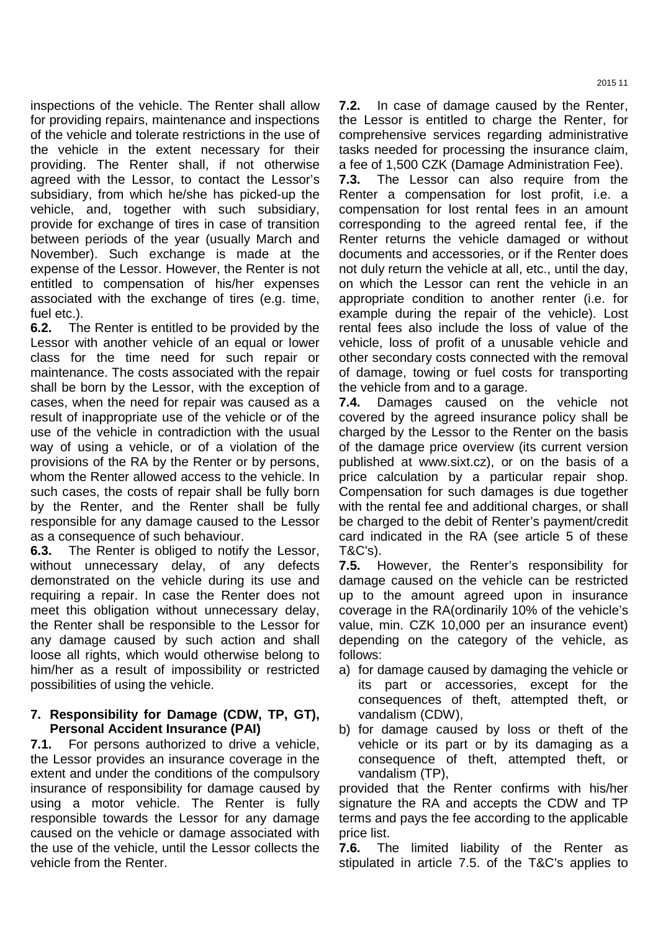inspections of the vehicle. The Renter shall allow for providing repairs, maintenance and inspections of the vehicle and tolerate restrictions in the use of the vehicle in the extent necessary for their providing. The Renter shall, if not otherwise agreed with the Lessor, to contact the Lessor's subsidiary, from which he/she has picked-up the vehicle, and, together with such subsidiary, provide for exchange of tires in case of transition between periods of the year (usually March and November). Such exchange is made at the expense of the Lessor. However, the Renter is not entitled to compensation of his/her expenses associated with the exchange of tires (e.g. time, fuel etc.).

**6.2.** The Renter is entitled to be provided by the Lessor with another vehicle of an equal or lower class for the time need for such repair or maintenance. The costs associated with the repair shall be born by the Lessor, with the exception of cases, when the need for repair was caused as a result of inappropriate use of the vehicle or of the use of the vehicle in contradiction with the usual way of using a vehicle, or of a violation of the provisions of the RA by the Renter or by persons, whom the Renter allowed access to the vehicle. In such cases, the costs of repair shall be fully born by the Renter, and the Renter shall be fully responsible for any damage caused to the Lessor as a consequence of such behaviour.

**6.3.** The Renter is obliged to notify the Lessor, without unnecessary delay, of any defects demonstrated on the vehicle during its use and requiring a repair. In case the Renter does not meet this obligation without unnecessary delay, the Renter shall be responsible to the Lessor for any damage caused by such action and shall loose all rights, which would otherwise belong to him/her as a result of impossibility or restricted possibilities of using the vehicle.

#### **7. Responsibility for Damage (CDW, TP, GT), Personal Accident Insurance (PAI)**

**7.1.** For persons authorized to drive a vehicle, the Lessor provides an insurance coverage in the extent and under the conditions of the compulsory insurance of responsibility for damage caused by using a motor vehicle. The Renter is fully responsible towards the Lessor for any damage caused on the vehicle or damage associated with the use of the vehicle, until the Lessor collects the vehicle from the Renter.

**7.2.** In case of damage caused by the Renter, the Lessor is entitled to charge the Renter, for comprehensive services regarding administrative tasks needed for processing the insurance claim, a fee of 1,500 CZK (Damage Administration Fee).

**7.3.** The Lessor can also require from the Renter a compensation for lost profit, i.e. a compensation for lost rental fees in an amount corresponding to the agreed rental fee, if the Renter returns the vehicle damaged or without documents and accessories, or if the Renter does not duly return the vehicle at all, etc., until the day, on which the Lessor can rent the vehicle in an appropriate condition to another renter (i.e. for example during the repair of the vehicle). Lost rental fees also include the loss of value of the vehicle, loss of profit of a unusable vehicle and other secondary costs connected with the removal of damage, towing or fuel costs for transporting the vehicle from and to a garage.

**7.4.** Damages caused on the vehicle not covered by the agreed insurance policy shall be charged by the Lessor to the Renter on the basis of the damage price overview (its current version published at www.sixt.cz), or on the basis of a price calculation by a particular repair shop. Compensation for such damages is due together with the rental fee and additional charges, or shall be charged to the debit of Renter's payment/credit card indicated in the RA (see article 5 of these T&C's).

**7.5.** However, the Renter's responsibility for damage caused on the vehicle can be restricted up to the amount agreed upon in insurance coverage in the RA(ordinarily 10% of the vehicle's value, min. CZK 10,000 per an insurance event) depending on the category of the vehicle, as follows:

- a) for damage caused by damaging the vehicle or its part or accessories, except for the consequences of theft, attempted theft, or vandalism (CDW),
- b) for damage caused by loss or theft of the vehicle or its part or by its damaging as a consequence of theft, attempted theft, or vandalism (TP),

provided that the Renter confirms with his/her signature the RA and accepts the CDW and TP terms and pays the fee according to the applicable price list.

**7.6.** The limited liability of the Renter as stipulated in article 7.5. of the T&C's applies to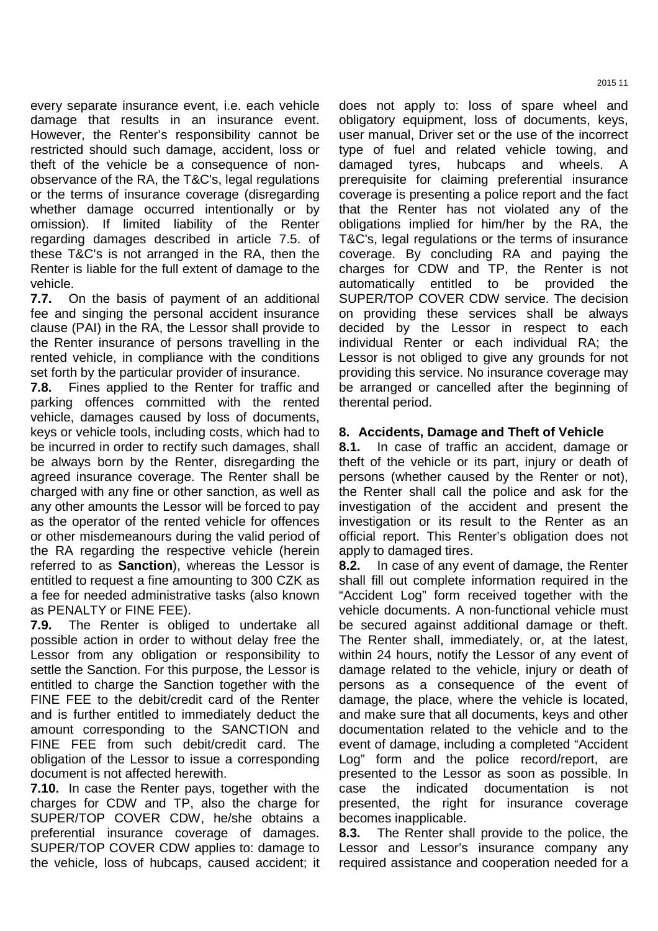every separate insurance event, i.e. each vehicle damage that results in an insurance event. However, the Renter's responsibility cannot be restricted should such damage, accident, loss or theft of the vehicle be a consequence of nonobservance of the RA, the T&C's, legal regulations or the terms of insurance coverage (disregarding whether damage occurred intentionally or by omission). If limited liability of the Renter regarding damages described in article 7.5. of these T&C's is not arranged in the RA, then the Renter is liable for the full extent of damage to the vehicle.

**7.7.** On the basis of payment of an additional fee and singing the personal accident insurance clause (PAI) in the RA, the Lessor shall provide to the Renter insurance of persons travelling in the rented vehicle, in compliance with the conditions set forth by the particular provider of insurance.

**7.8.** Fines applied to the Renter for traffic and parking offences committed with the rented vehicle, damages caused by loss of documents, keys or vehicle tools, including costs, which had to be incurred in order to rectify such damages, shall be always born by the Renter, disregarding the agreed insurance coverage. The Renter shall be charged with any fine or other sanction, as well as any other amounts the Lessor will be forced to pay as the operator of the rented vehicle for offences or other misdemeanours during the valid period of the RA regarding the respective vehicle (herein referred to as **Sanction**), whereas the Lessor is entitled to request a fine amounting to 300 CZK as a fee for needed administrative tasks (also known as PENALTY or FINE FEE).

**7.9.** The Renter is obliged to undertake all possible action in order to without delay free the Lessor from any obligation or responsibility to settle the Sanction. For this purpose, the Lessor is entitled to charge the Sanction together with the FINE FEE to the debit/credit card of the Renter and is further entitled to immediately deduct the amount corresponding to the SANCTION and FINE FEE from such debit/credit card. The obligation of the Lessor to issue a corresponding document is not affected herewith.

**7.10.** In case the Renter pays, together with the charges for CDW and TP, also the charge for SUPER/TOP COVER CDW, he/she obtains a preferential insurance coverage of damages. SUPER/TOP COVER CDW applies to: damage to the vehicle, loss of hubcaps, caused accident; it does not apply to: loss of spare wheel and obligatory equipment, loss of documents, keys, user manual, Driver set or the use of the incorrect type of fuel and related vehicle towing, and damaged tyres, hubcaps and wheels. prerequisite for claiming preferential insurance coverage is presenting a police report and the fact that the Renter has not violated any of the obligations implied for him/her by the RA, the T&C's, legal regulations or the terms of insurance coverage. By concluding RA and paying the charges for CDW and TP, the Renter is not automatically entitled to be provided the SUPER/TOP COVER CDW service. The decision on providing these services shall be always decided by the Lessor in respect to each individual Renter or each individual RA; the Lessor is not obliged to give any grounds for not providing this service. No insurance coverage may be arranged or cancelled after the beginning of therental period.

# **8. Accidents, Damage and Theft of Vehicle**

**8.1.** In case of traffic an accident, damage or theft of the vehicle or its part, injury or death of persons (whether caused by the Renter or not), the Renter shall call the police and ask for the investigation of the accident and present the investigation or its result to the Renter as an official report. This Renter's obligation does not apply to damaged tires.

**8.2.** In case of any event of damage, the Renter shall fill out complete information required in the "Accident Log" form received together with the vehicle documents. A non-functional vehicle must be secured against additional damage or theft. The Renter shall, immediately, or, at the latest, within 24 hours, notify the Lessor of any event of damage related to the vehicle, injury or death of persons as a consequence of the event of damage, the place, where the vehicle is located, and make sure that all documents, keys and other documentation related to the vehicle and to the event of damage, including a completed "Accident Log" form and the police record/report, are presented to the Lessor as soon as possible. In case the indicated documentation is not presented, the right for insurance coverage becomes inapplicable.

**8.3.** The Renter shall provide to the police, the Lessor and Lessor's insurance company any required assistance and cooperation needed for a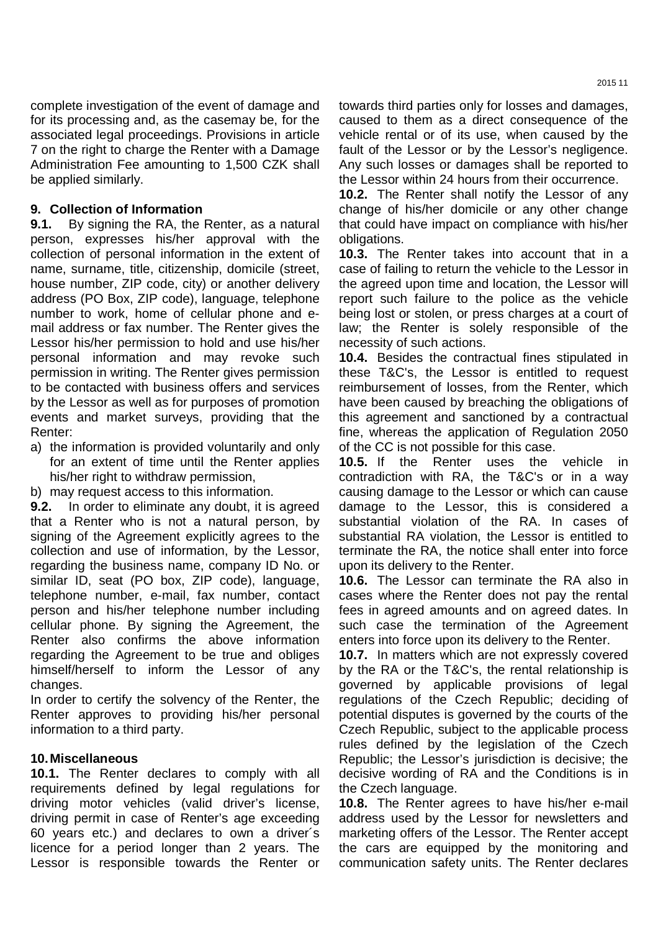complete investigation of the event of damage and for its processing and, as the casemay be, for the associated legal proceedings. Provisions in article 7 on the right to charge the Renter with a Damage Administration Fee amounting to 1,500 CZK shall be applied similarly.

#### **9. Collection of Information**

**9.1.** By signing the RA, the Renter, as a natural person, expresses his/her approval with the collection of personal information in the extent of name, surname, title, citizenship, domicile (street, house number, ZIP code, city) or another delivery address (PO Box, ZIP code), language, telephone number to work, home of cellular phone and email address or fax number. The Renter gives the Lessor his/her permission to hold and use his/her personal information and may revoke such permission in writing. The Renter gives permission to be contacted with business offers and services by the Lessor as well as for purposes of promotion events and market surveys, providing that the Renter:

a) the information is provided voluntarily and only for an extent of time until the Renter applies his/her right to withdraw permission,

b) may request access to this information.

**9.2.** In order to eliminate any doubt, it is agreed that a Renter who is not a natural person, by signing of the Agreement explicitly agrees to the collection and use of information, by the Lessor, regarding the business name, company ID No. or similar ID, seat (PO box, ZIP code), language, telephone number, e-mail, fax number, contact person and his/her telephone number including cellular phone. By signing the Agreement, the Renter also confirms the above information regarding the Agreement to be true and obliges himself/herself to inform the Lessor of any changes.

In order to certify the solvency of the Renter, the Renter approves to providing his/her personal information to a third party.

#### **10. Miscellaneous**

**10.1.** The Renter declares to comply with all requirements defined by legal regulations for driving motor vehicles (valid driver's license, driving permit in case of Renter's age exceeding 60 years etc.) and declares to own a driver´s licence for a period longer than 2 years. The Lessor is responsible towards the Renter or

towards third parties only for losses and damages, caused to them as a direct consequence of the vehicle rental or of its use, when caused by the fault of the Lessor or by the Lessor's negligence. Any such losses or damages shall be reported to the Lessor within 24 hours from their occurrence.

**10.2.** The Renter shall notify the Lessor of any change of his/her domicile or any other change that could have impact on compliance with his/her obligations.

**10.3.** The Renter takes into account that in a case of failing to return the vehicle to the Lessor in the agreed upon time and location, the Lessor will report such failure to the police as the vehicle being lost or stolen, or press charges at a court of law; the Renter is solely responsible of the necessity of such actions.

**10.4.** Besides the contractual fines stipulated in these T&C's, the Lessor is entitled to request reimbursement of losses, from the Renter, which have been caused by breaching the obligations of this agreement and sanctioned by a contractual fine, whereas the application of Regulation 2050 of the CC is not possible for this case.

**10.5.** If the Renter uses the vehicle contradiction with RA, the T&C's or in a way causing damage to the Lessor or which can cause damage to the Lessor, this is considered a substantial violation of the RA. In cases of substantial RA violation, the Lessor is entitled to terminate the RA, the notice shall enter into force upon its delivery to the Renter.

**10.6.** The Lessor can terminate the RA also in cases where the Renter does not pay the rental fees in agreed amounts and on agreed dates. In such case the termination of the Agreement enters into force upon its delivery to the Renter.

**10.7.** In matters which are not expressly covered by the RA or the T&C's, the rental relationship is governed by applicable provisions of legal regulations of the Czech Republic; deciding of potential disputes is governed by the courts of the Czech Republic, subject to the applicable process rules defined by the legislation of the Czech Republic; the Lessor's jurisdiction is decisive; the decisive wording of RA and the Conditions is in the Czech language.

**10.8.** The Renter agrees to have his/her e-mail address used by the Lessor for newsletters and marketing offers of the Lessor. The Renter accept the cars are equipped by the monitoring and communication safety units. The Renter declares